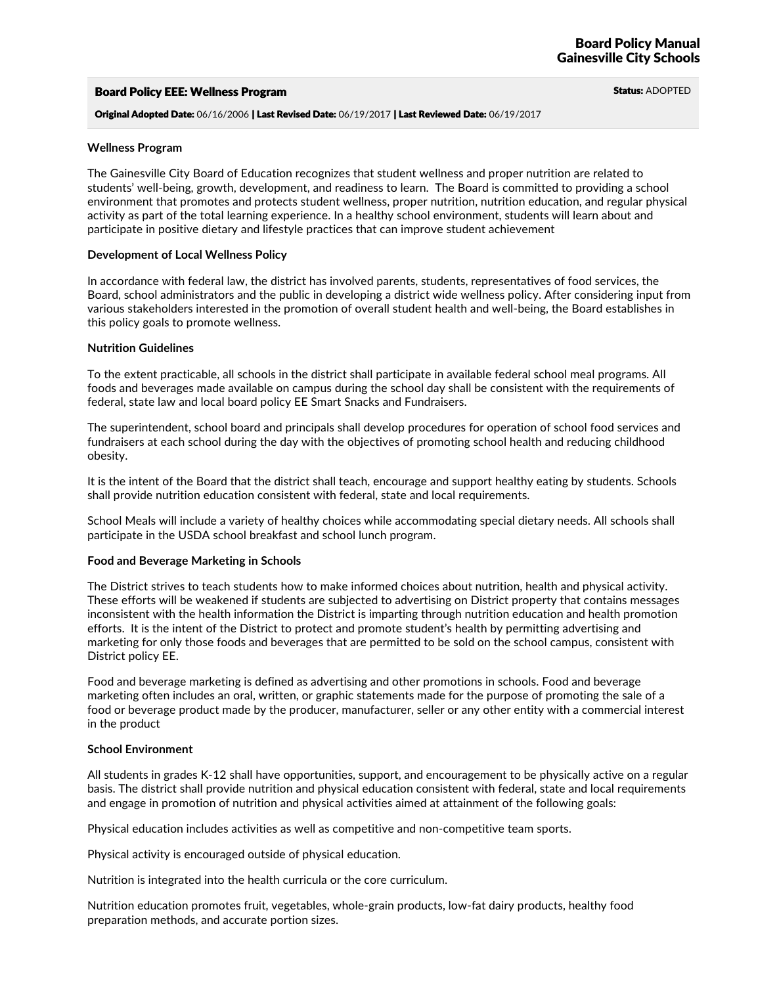# Board Policy EEE: Wellness Program Status: ADOPTED

Original Adopted Date: 06/16/2006 | Last Revised Date: 06/19/2017 | Last Reviewed Date: 06/19/2017

#### **Wellness Program**

The Gainesville City Board of Education recognizes that student wellness and proper nutrition are related to students' well-being, growth, development, and readiness to learn. The Board is committed to providing a school environment that promotes and protects student wellness, proper nutrition, nutrition education, and regular physical activity as part of the total learning experience. In a healthy school environment, students will learn about and participate in positive dietary and lifestyle practices that can improve student achievement

### **Development of Local Wellness Policy**

In accordance with federal law, the district has involved parents, students, representatives of food services, the Board, school administrators and the public in developing a district wide wellness policy. After considering input from various stakeholders interested in the promotion of overall student health and well-being, the Board establishes in this policy goals to promote wellness.

#### **Nutrition Guidelines**

To the extent practicable, all schools in the district shall participate in available federal school meal programs. All foods and beverages made available on campus during the school day shall be consistent with the requirements of federal, state law and local board policy EE Smart Snacks and Fundraisers.

The superintendent, school board and principals shall develop procedures for operation of school food services and fundraisers at each school during the day with the objectives of promoting school health and reducing childhood obesity.

It is the intent of the Board that the district shall teach, encourage and support healthy eating by students. Schools shall provide nutrition education consistent with federal, state and local requirements.

School Meals will include a variety of healthy choices while accommodating special dietary needs. All schools shall participate in the USDA school breakfast and school lunch program.

### **Food and Beverage Marketing in Schools**

The District strives to teach students how to make informed choices about nutrition, health and physical activity.<br>These efforts will be weakened if students are subjected to advertising on District property that contains inconsistent with the health information the District is imparting through nutrition education and health promotion efforts. It is the intent of the District to protect and promote student's health by permitting advertising and marketing for only those foods and beverages that are permitted to be sold on the school campus, consistent with District policy EE.

Food and beverage marketing is defined as advertising and other promotions in schools. Food and beverage marketing often includes an oral, written, or graphic statements made for the purpose of promoting the sale of a food or beverage product made by the producer, manufacturer, seller or any other entity with a commercial interest in the product

### **School Environment**

All students in grades K-12 shall have opportunities, support, and encouragement to be physically active on a regular basis. The district shall provide nutrition and physical education consistent with federal, state and local requirements and engage in promotion of nutrition and physical activities aimed at attainment of the following goals:

Physical education includes activities as well as competitive and non-competitive team sports.

Physical activity is encouraged outside of physical education.

Nutrition is integrated into the health curricula or the core curriculum.

Nutrition education promotes fruit, vegetables, whole-grain products, low-fat dairy products, healthy food preparation methods, and accurate portion sizes.